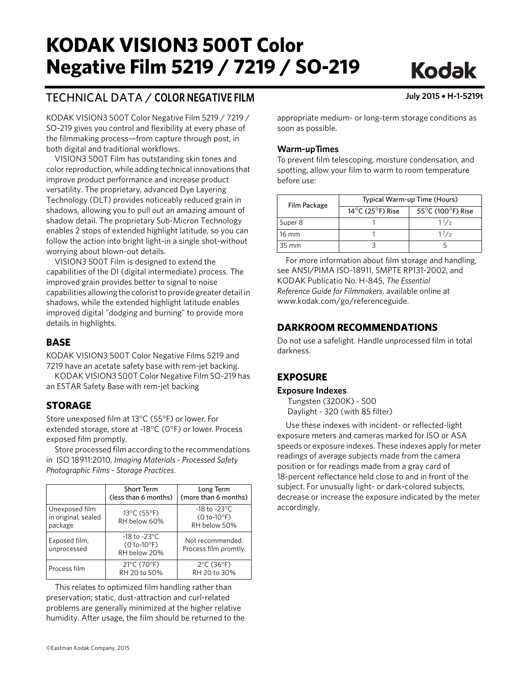# **KODAK VISION3 500T Color Kegative Film 5219 / 7219 / S Negative Film 5219 / 7219 / 7219 219**

## TECHNICAL DATA / **COLOR NEGATIVE FILM July 2015** • **H-1-5219t**

KODAK VISION3 500T Color Negative Film 5219 / 7219 / SO-219 gives you control and flexibility at every phase of the filmmaking process—from capture through post, in both digital and traditional workflows.

VISION3 500T Film has outstanding skin tones and color reproduction, while adding technical innovations that improve product performance and increase product versatility. The proprietary, advanced Dye Layering Technology (DLT) provides noticeably reduced grain in shadows, allowing you to pull out an amazing amount of shadow detail. The proprietary Sub-Micron Technology enables 2 stops of extended highlight latitude, so you can follow the action into bright light-in a single shot-without worrying about blown-out details.

VISION3 500T Film is designed to extend the capabilities of the DI (digital intermediate) process. The improved grain provides better to signal to noise capabilities allowing the colorist to provide greater detail in shadows, while the extended highlight latitude enables improved digital "dodging and burning" to provide more details in highlights.

**BASE** KODAK VISION3 500T Color Negative Films 5219 and 7219 have an acetate safety base with rem-jet backing.

KODAK VISION3 500T Color Negative Film SO-219 has an ESTAR Safety Base with rem-jet backing

#### **STORAGE**

**STORAGE** Store unexposed film at 13°C (55°F) or lower. For extended storage, store at -18°C (0°F) or lower. Process exposed film promptly.

Store processed film according to the recommendations in ISO 18911:2010, *Imaging Materials - Processed Safety Photographic Films - Storage Practices*.

|                                                  | <b>Short Term</b><br>(less than 6 months)                   | Long Term<br>(more than 6 months)                                  |
|--------------------------------------------------|-------------------------------------------------------------|--------------------------------------------------------------------|
| Unexposed film<br>in original, sealed<br>package | 13°C (55°F)<br>RH below 60%                                 | -18 to -23 $\mathrm{^{\circ}C}$<br>$(0 to -10$ °F)<br>RH below 50% |
| Exposed film,<br>unprocessed                     | $-18$ to $-23^{\circ}$ C<br>$(0 to -10$ °F)<br>RH below 20% | Not recommended.<br>Process film promtly.                          |
| Process film                                     | $21^{\circ}$ C (70 $^{\circ}$ F)<br>RH 20 to 50%            | $2^{\circ}$ C (36 $^{\circ}$ F)<br>RH 20 to 30%                    |

This relates to optimized film handling rather than preservation; static, dust-attraction and curl-related problems are generally minimized at the higher relative humidity. After usage, the film should be returned to the appropriate medium- or long-term storage conditions as soon as possible.

#### **Warm-upTimes**

To prevent film telescoping, moisture condensation, and spotting, allow your film to warm to room temperature before use:

| Film Package    | Typical Warm-up Time (Hours)                            |                                       |  |  |
|-----------------|---------------------------------------------------------|---------------------------------------|--|--|
|                 | 14 $\mathrm{^{\circ}C}$ (25 $\mathrm{^{\circ}F}$ ) Rise | 55 $\degree$ C (100 $\degree$ F) Rise |  |  |
| Super 8         |                                                         | 11/2                                  |  |  |
| 16 mm           |                                                         | 11/2                                  |  |  |
| $35 \text{ mm}$ |                                                         |                                       |  |  |

For more information about film storage and handling, see ANSI/PIMA ISO-18911, SMPTE RP131-2002, and KODAK Publicatio No. H-845, *The Essential Reference Guide for Filmmakers*, available online at www.kodak.com/go/referenceguide.

#### **DARKROOM RECOMMENDATIONS**

**Do not use a safelight. Handle unprocessed film in total** darkness.

#### **EXPOSURE**

## **EXPOSURE Exposure Indexes**

Tungsten (3200K) - 500 Daylight - 320 (with 85 filter)

Use these indexes with incident- or reflected-light exposure meters and cameras marked for ISO or ASA speeds or exposure indexes. These indexes apply for meter readings of average subjects made from the camera position or for readings made from a gray card of 18-percent reflectance held close to and in front of the subject. For unusually light- or dark-colored subjects, decrease or increase the exposure indicated by the meter accordingly.

**Kodak**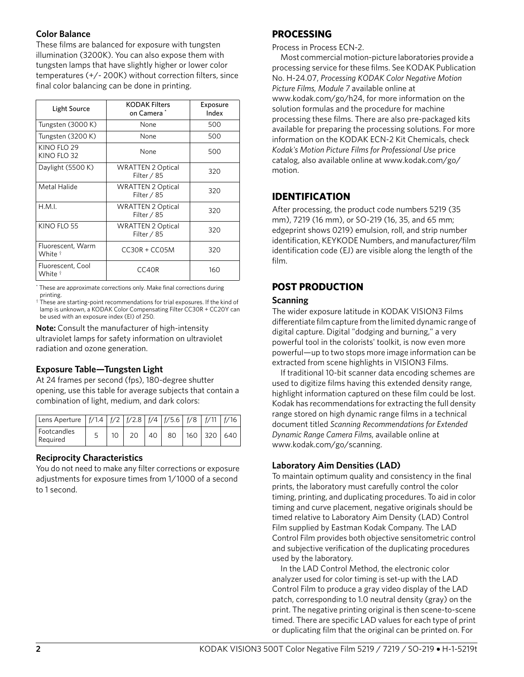#### **Color Balance**

These films are balanced for exposure with tungsten illumination (3200K). You can also expose them with tungsten lamps that have slightly higher or lower color temperatures (+/- 200K) without correction filters, since final color balancing can be done in printing.

| Light Source                            | <b>KODAK Filters</b><br>on Camera *       | Exposure<br>Index |
|-----------------------------------------|-------------------------------------------|-------------------|
| Tungsten (3000 K)                       | None                                      | 500               |
| Tungsten (3200 K)                       | None                                      | 500               |
| KINO FLO 29<br>KINO FLO 32              | None                                      | 500               |
| Daylight (5500 K)                       | <b>WRATTEN 2 Optical</b><br>Filter / 85   | 320               |
| Metal Halide                            | <b>WRATTEN 2 Optical</b><br>Filter $/$ 85 | 320               |
| H.M.I.                                  | <b>WRATTEN 2 Optical</b><br>Filter / 85   | 320               |
| KINO FLO 55                             | <b>WRATTEN 2 Optical</b><br>Filter $/$ 85 | 320               |
| Fluorescent, Warm<br>White †            | $CC3OR + CC05M$                           | 320               |
| Fluorescent, Cool<br>White <sup>†</sup> | CC40R                                     | 160               |

\* These are approximate corrections only. Make final corrections during printing.

† These are starting-point recommendations for trial exposures. If the kind of lamp is unknown, a KODAK Color Compensating Filter CC30R + CC20Y can be used with an exposure index (EI) of 250.

**Note:** Consult the manufacturer of high-intensity ultraviolet lamps for safety information on ultraviolet radiation and ozone generation.

#### **Exposure Table—Tungsten Light**

At 24 frames per second (fps), 180-degree shutter opening, use this table for average subjects that contain a combination of light, medium, and dark colors:

| Lens Aperture $ f/1.4 f/2 f/2.8 f/4 f/5.6 f/8 f/11 f/16$ |  |    |    |                 |  |
|----------------------------------------------------------|--|----|----|-----------------|--|
| Footcandles<br>Required                                  |  | 40 | 80 | 160   320   640 |  |

#### **Reciprocity Characteristics**

You do not need to make any filter corrections or exposure adjustments for exposure times from 1/1000 of a second to 1 second.

#### **PROCESSING**

Process in Process ECN-2.

Most commercial motion-picture laboratories provide a processing service for these films. See KODAK Publication No. H-24.07, *Processing KODAK Color Negative Motion Picture Films, Module 7* available online at www.kodak.com/go/h24, for more information on the solution formulas and the procedure for machine processing these films. There are also pre-packaged kits available for preparing the processing solutions. For more information on the KODAK ECN-2 Kit Chemicals, check *Kodak's Motion Picture Films for Professional Use* price catalog, also available online at www.kodak.com/go/ motion.

### **IDENTIFICATION**

After processing, the product code numbers 5219 (35 mm), 7219 (16 mm), or SO-219 (16, 35, and 65 mm; edgeprint shows 0219) emulsion, roll, and strip number identification, KEYKODE Numbers, and manufacturer/film identification code (EJ) are visible along the length of the film.

### **POST PRODUCTION**

## **POST PRODUCTION Scanning**

The wider exposure latitude in KODAK VISION3 Films differentiate film capture from the limited dynamic range of digital capture. Digital "dodging and burning," a very powerful tool in the colorists' toolkit, is now even more powerful—up to two stops more image information can be extracted from scene highlights in VISION3 Films.

If traditional 10-bit scanner data encoding schemes are used to digitize films having this extended density range, highlight information captured on these film could be lost. Kodak has recommendations for extracting the full density range stored on high dynamic range films in a technical document titled *Scanning Recommendations for Extended Dynamic Range Camera Films*, available online at www.kodak.com/go/scanning.

#### **Laboratory Aim Densities (LAD)**

To maintain optimum quality and consistency in the final prints, the laboratory must carefully control the color timing, printing, and duplicating procedures. To aid in color timing and curve placement, negative originals should be timed relative to Laboratory Aim Density (LAD) Control Film supplied by Eastman Kodak Company. The LAD Control Film provides both objective sensitometric control and subjective verification of the duplicating procedures used by the laboratory.

In the LAD Control Method, the electronic color analyzer used for color timing is set-up with the LAD Control Film to produce a gray video display of the LAD patch, corresponding to 1.0 neutral density (gray) on the print. The negative printing original is then scene-to-scene timed. There are specific LAD values for each type of print or duplicating film that the original can be printed on. For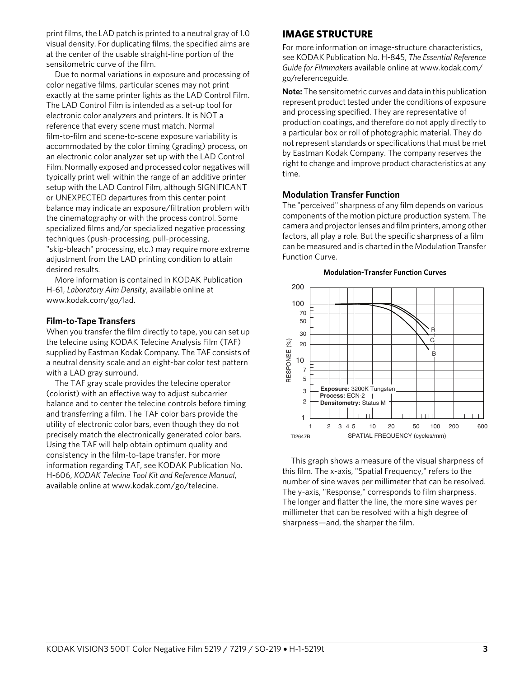print films, the LAD patch is printed to a neutral gray of 1.0 visual density. For duplicating films, the specified aims are at the center of the usable straight-line portion of the sensitometric curve of the film.

Due to normal variations in exposure and processing of color negative films, particular scenes may not print exactly at the same printer lights as the LAD Control Film. The LAD Control Film is intended as a set-up tool for electronic color analyzers and printers. It is NOT a reference that every scene must match. Normal film-to-film and scene-to-scene exposure variability is accommodated by the color timing (grading) process, on an electronic color analyzer set up with the LAD Control Film. Normally exposed and processed color negatives will typically print well within the range of an additive printer setup with the LAD Control Film, although SIGNIFICANT or UNEXPECTED departures from this center point balance may indicate an exposure/filtration problem with the cinematography or with the process control. Some specialized films and/or specialized negative processing techniques (push-processing, pull-processing, "skip-bleach" processing, etc.) may require more extreme adjustment from the LAD printing condition to attain desired results.

More information is contained in KODAK Publication H-61, *Laboratory Aim Density*, available online at www.kodak.com/go/lad.

#### **Film-to-Tape Transfers**

When you transfer the film directly to tape, you can set up the telecine using KODAK Telecine Analysis Film (TAF) supplied by Eastman Kodak Company. The TAF consists of a neutral density scale and an eight-bar color test pattern with a LAD gray surround.

The TAF gray scale provides the telecine operator (colorist) with an effective way to adjust subcarrier balance and to center the telecine controls before timing and transferring a film. The TAF color bars provide the utility of electronic color bars, even though they do not precisely match the electronically generated color bars. Using the TAF will help obtain optimum quality and consistency in the film-to-tape transfer. For more information regarding TAF, see KODAK Publication No. H-606, *KODAK Telecine Tool Kit and Reference Manual*, available online at www.kodak.com/go/telecine.

#### **IMAGE STRUCTURE**

**For more information on image-structure characteristics,** see KODAK Publication No. H-845, *The Essential Reference Guide for Filmmakers* available online at www.kodak.com/ go/referenceguide.

**Note:** The sensitometric curves and data in this publication represent product tested under the conditions of exposure and processing specified. They are representative of production coatings, and therefore do not apply directly to a particular box or roll of photographic material. They do not represent standards or specifications that must be met by Eastman Kodak Company. The company reserves the right to change and improve product characteristics at any time.

#### **Modulation Transfer Function**

The "perceived" sharpness of any film depends on various components of the motion picture production system. The camera and projector lenses and film printers, among other factors, all play a role. But the specific sharpness of a film can be measured and is charted in the Modulation Transfer Function Curve.



**Modulation-Transfer Function Curves**

This graph shows a measure of the visual sharpness of this film. The x-axis, "Spatial Frequency," refers to the number of sine waves per millimeter that can be resolved. The y-axis, "Response," corresponds to film sharpness. The longer and flatter the line, the more sine waves per millimeter that can be resolved with a high degree of sharpness—and, the sharper the film.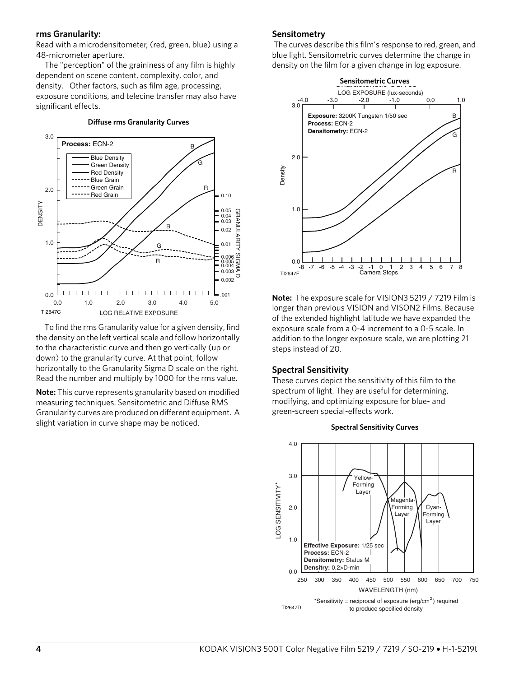#### **rms Granularity:**

Read with a microdensitometer, (red, green, blue) using a 48-micrometer aperture.

The "perception" of the graininess of any film is highly dependent on scene content, complexity, color, and density. Other factors, such as film age, processing, exposure conditions, and telecine transfer may also have significant effects.

#### **Diffuse rms Granularity Curves**



To find the rms Granularity value for a given density, find the density on the left vertical scale and follow horizontally to the characteristic curve and then go vertically (up or down) to the granularity curve. At that point, follow horizontally to the Granularity Sigma D scale on the right. Read the number and multiply by 1000 for the rms value.

**Note:** This curve represents granularity based on modified measuring techniques. Sensitometric and Diffuse RMS Granularity curves are produced on different equipment. A slight variation in curve shape may be noticed.

#### **Sensitometry**

 The curves describe this film's response to red, green, and blue light. Sensitometric curves determine the change in density on the film for a given change in log exposure.



**Note:** The exposure scale for VISION3 5219 / 7219 Film is longer than previous VISION and VISON2 Films. Because of the extended highlight latitude we have expanded the exposure scale from a 0-4 increment to a 0-5 scale. In addition to the longer exposure scale, we are plotting 21 steps instead of 20.

#### **Spectral Sensitivity**

These curves depict the sensitivity of this film to the spectrum of light. They are useful for determining, modifying, and optimizing exposure for blue- and green-screen special-effects work.



#### **Spectral Sensitivity Curves**